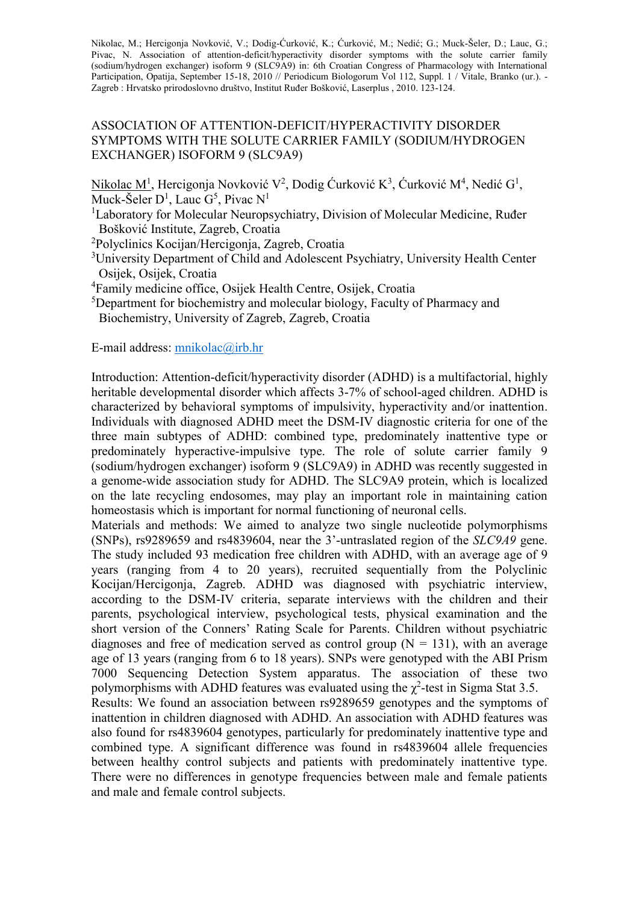Nikolac, M.; Hercigonja Novković, V.; Dodig-Ćurković, K.; Ćurković, M.; Nedić; G.; Muck-Šeler, D.; Lauc, G.; Pivac, N. Association of attention-deficit/hyperactivity disorder symptoms with the solute carrier family (sodium/hydrogen exchanger) isoform 9 (SLC9A9) in: 6th Croatian Congress of Pharmacology with International Participation, Opatija, September 15-18, 2010 // Periodicum Biologorum Vol 112, Suppl. 1 / Vitale, Branko (ur.). -Zagreb : Hrvatsko prirodoslovno društvo, Institut Ruđer Bošković, Laserplus , 2010. 123-124.

## ASSOCIATION OF ATTENTION-DEFICIT/HYPERACTIVITY DISORDER SYMPTOMS WITH THE SOLUTE CARRIER FAMILY (SODIUM/HYDROGEN EXCHANGER) ISOFORM 9 (SLC9A9)

Nikolac M<sup>1</sup>, Hercigonja Novković V<sup>2</sup>, Dodig Ćurković K<sup>3</sup>, Ćurković M<sup>4</sup>, Nedić G<sup>1</sup>, Muck-Šeler  $D^1$ , Lauc  $G^5$ , Pivac  $N^1$ 

<sup>1</sup>Laboratory for Molecular Neuropsychiatry, Division of Molecular Medicine, Ruđer Bošković Institute, Zagreb, Croatia

<sup>2</sup>Polyclinics Kocijan/Hercigonja, Zagreb, Croatia

<sup>3</sup>University Department of Child and Adolescent Psychiatry, University Health Center Osijek, Osijek, Croatia

<sup>4</sup>Family medicine office, Osijek Health Centre, Osijek, Croatia

<sup>5</sup>Department for biochemistry and molecular biology, Faculty of Pharmacy and Biochemistry, University of Zagreb, Zagreb, Croatia

E-mail address: [mnikolac@irb.hr](mailto:mnikolac@irb.hr)

Introduction: Attention-deficit/hyperactivity disorder (ADHD) is a multifactorial, highly heritable developmental disorder which affects 3-7% of school-aged children. ADHD is characterized by behavioral symptoms of impulsivity, hyperactivity and/or inattention. Individuals with diagnosed ADHD meet the DSM-IV diagnostic criteria for one of the three main subtypes of ADHD: combined type, predominately inattentive type or predominately hyperactive-impulsive type. The role of solute carrier family 9 (sodium/hydrogen exchanger) isoform 9 (SLC9A9) in ADHD was recently suggested in a genome-wide association study for ADHD. The SLC9A9 protein, which is localized on the late recycling endosomes, may play an important role in maintaining cation homeostasis which is important for normal functioning of neuronal cells.

Materials and methods: We aimed to analyze two single nucleotide polymorphisms (SNPs), rs9289659 and rs4839604, near the 3'-untraslated region of the *SLC9A9* gene. The study included 93 medication free children with ADHD, with an average age of 9 years (ranging from 4 to 20 years), recruited sequentially from the Polyclinic Kocijan/Hercigonja, Zagreb. ADHD was diagnosed with psychiatric interview, according to the DSM-IV criteria, separate interviews with the children and their parents, psychological interview, psychological tests, physical examination and the short version of the Conners' Rating Scale for Parents. Children without psychiatric diagnoses and free of medication served as control group  $(N = 131)$ , with an average age of 13 years (ranging from 6 to 18 years). SNPs were genotyped with the ABI Prism 7000 Sequencing Detection System apparatus. The association of these two polymorphisms with ADHD features was evaluated using the  $\chi^2$ -test in Sigma Stat 3.5.

Results: We found an association between rs9289659 genotypes and the symptoms of inattention in children diagnosed with ADHD. An association with ADHD features was also found for rs4839604 genotypes, particularly for predominately inattentive type and combined type. A significant difference was found in rs4839604 allele frequencies between healthy control subjects and patients with predominately inattentive type. There were no differences in genotype frequencies between male and female patients and male and female control subjects.